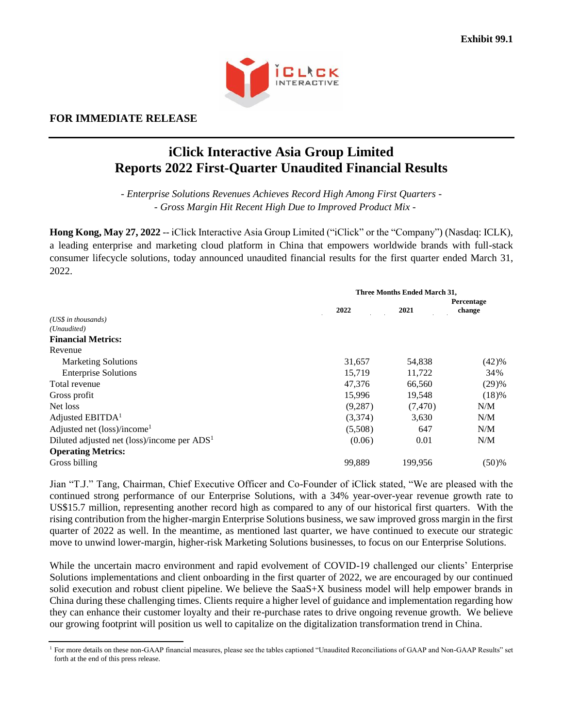

# **FOR IMMEDIATE RELEASE**

# **iClick Interactive Asia Group Limited Reports 2022 First-Quarter Unaudited Financial Results**

*- Enterprise Solutions Revenues Achieves Record High Among First Quarters - - Gross Margin Hit Recent High Due to Improved Product Mix -*

**Hong Kong, May 27, 2022** -- iClick Interactive Asia Group Limited ("iClick" or the "Company") (Nasdaq: ICLK), a leading enterprise and marketing cloud platform in China that empowers worldwide brands with full-stack consumer lifecycle solutions, today announced unaudited financial results for the first quarter ended March 31, 2022.

|                                                                   |          | Three Months Ended March 31, |                      |  |
|-------------------------------------------------------------------|----------|------------------------------|----------------------|--|
|                                                                   | 2022     | 2021                         | Percentage<br>change |  |
| (US\$ in thousands)                                               |          |                              |                      |  |
| (Unaudited)                                                       |          |                              |                      |  |
| <b>Financial Metrics:</b>                                         |          |                              |                      |  |
| Revenue                                                           |          |                              |                      |  |
| <b>Marketing Solutions</b>                                        | 31,657   | 54,838                       | (42)%                |  |
| <b>Enterprise Solutions</b>                                       | 15,719   | 11,722                       | 34%                  |  |
| Total revenue                                                     | 47,376   | 66,560                       | (29)%                |  |
| Gross profit                                                      | 15,996   | 19,548                       | (18)%                |  |
| Net loss                                                          | (9, 287) | (7,470)                      | N/M                  |  |
| Adjusted $EBITDA1$                                                | (3,374)  | 3,630                        | N/M                  |  |
| Adjusted net (loss)/income <sup>1</sup>                           | (5,508)  | 647                          | N/M                  |  |
| Diluted adjusted net $(\text{loss})/$ income per ADS <sup>1</sup> | (0.06)   | 0.01                         | N/M                  |  |
| <b>Operating Metrics:</b>                                         |          |                              |                      |  |
| Gross billing                                                     | 99,889   | 199,956                      | (50)%                |  |

Jian "T.J." Tang, Chairman, Chief Executive Officer and Co-Founder of iClick stated, "We are pleased with the continued strong performance of our Enterprise Solutions, with a 34% year-over-year revenue growth rate to US\$15.7 million, representing another record high as compared to any of our historical first quarters. With the rising contribution from the higher-margin Enterprise Solutions business, we saw improved gross margin in the first quarter of 2022 as well. In the meantime, as mentioned last quarter, we have continued to execute our strategic move to unwind lower-margin, higher-risk Marketing Solutions businesses, to focus on our Enterprise Solutions.

While the uncertain macro environment and rapid evolvement of COVID-19 challenged our clients' Enterprise Solutions implementations and client onboarding in the first quarter of 2022, we are encouraged by our continued solid execution and robust client pipeline. We believe the SaaS+X business model will help empower brands in China during these challenging times. Clients require a higher level of guidance and implementation regarding how they can enhance their customer loyalty and their re-purchase rates to drive ongoing revenue growth. We believe our growing footprint will position us well to capitalize on the digitalization transformation trend in China.

<sup>&</sup>lt;sup>1</sup> For more details on these non-GAAP financial measures, please see the tables captioned "Unaudited Reconciliations of GAAP and Non-GAAP Results" set forth at the end of this press release.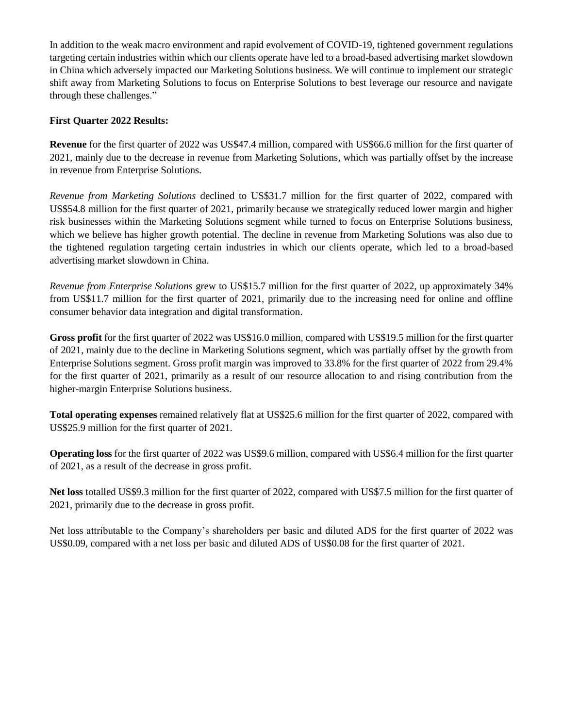In addition to the weak macro environment and rapid evolvement of COVID-19, tightened government regulations targeting certain industries within which our clients operate have led to a broad-based advertising market slowdown in China which adversely impacted our Marketing Solutions business. We will continue to implement our strategic shift away from Marketing Solutions to focus on Enterprise Solutions to best leverage our resource and navigate through these challenges."

### **First Quarter 2022 Results:**

**Revenue** for the first quarter of 2022 was US\$47.4 million, compared with US\$66.6 million for the first quarter of 2021, mainly due to the decrease in revenue from Marketing Solutions, which was partially offset by the increase in revenue from Enterprise Solutions.

*Revenue from Marketing Solutions* declined to US\$31.7 million for the first quarter of 2022, compared with US\$54.8 million for the first quarter of 2021, primarily because we strategically reduced lower margin and higher risk businesses within the Marketing Solutions segment while turned to focus on Enterprise Solutions business, which we believe has higher growth potential. The decline in revenue from Marketing Solutions was also due to the tightened regulation targeting certain industries in which our clients operate, which led to a broad-based advertising market slowdown in China.

*Revenue from Enterprise Solutions* grew to US\$15.7 million for the first quarter of 2022, up approximately 34% from US\$11.7 million for the first quarter of 2021, primarily due to the increasing need for online and offline consumer behavior data integration and digital transformation.

**Gross profit** for the first quarter of 2022 was US\$16.0 million, compared with US\$19.5 million for the first quarter of 2021, mainly due to the decline in Marketing Solutions segment, which was partially offset by the growth from Enterprise Solutions segment. Gross profit margin was improved to 33.8% for the first quarter of 2022 from 29.4% for the first quarter of 2021, primarily as a result of our resource allocation to and rising contribution from the higher-margin Enterprise Solutions business.

**Total operating expenses** remained relatively flat at US\$25.6 million for the first quarter of 2022, compared with US\$25.9 million for the first quarter of 2021.

**Operating loss** for the first quarter of 2022 was US\$9.6 million, compared with US\$6.4 million for the first quarter of 2021, as a result of the decrease in gross profit.

**Net loss** totalled US\$9.3 million for the first quarter of 2022, compared with US\$7.5 million for the first quarter of 2021, primarily due to the decrease in gross profit.

Net loss attributable to the Company's shareholders per basic and diluted ADS for the first quarter of 2022 was US\$0.09, compared with a net loss per basic and diluted ADS of US\$0.08 for the first quarter of 2021.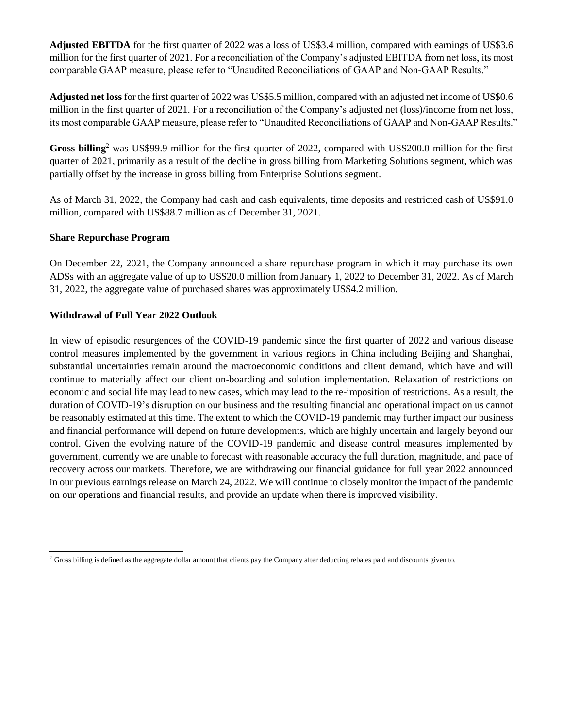**Adjusted EBITDA** for the first quarter of 2022 was a loss of US\$3.4 million, compared with earnings of US\$3.6 million for the first quarter of 2021. For a reconciliation of the Company's adjusted EBITDA from net loss, its most comparable GAAP measure, please refer to "Unaudited Reconciliations of GAAP and Non-GAAP Results."

**Adjusted net loss** for the first quarter of 2022 was US\$5.5 million, compared with an adjusted net income of US\$0.6 million in the first quarter of 2021. For a reconciliation of the Company's adjusted net (loss)/income from net loss, its most comparable GAAP measure, please refer to "Unaudited Reconciliations of GAAP and Non-GAAP Results."

**Gross billing**<sup>2</sup> was US\$99.9 million for the first quarter of 2022, compared with US\$200.0 million for the first quarter of 2021, primarily as a result of the decline in gross billing from Marketing Solutions segment, which was partially offset by the increase in gross billing from Enterprise Solutions segment.

As of March 31, 2022, the Company had cash and cash equivalents, time deposits and restricted cash of US\$91.0 million, compared with US\$88.7 million as of December 31, 2021.

### **Share Repurchase Program**

On December 22, 2021, the Company announced a share repurchase program in which it may purchase its own ADSs with an aggregate value of up to US\$20.0 million from January 1, 2022 to December 31, 2022. As of March 31, 2022, the aggregate value of purchased shares was approximately US\$4.2 million.

#### **Withdrawal of Full Year 2022 Outlook**

In view of episodic resurgences of the COVID-19 pandemic since the first quarter of 2022 and various disease control measures implemented by the government in various regions in China including Beijing and Shanghai, substantial uncertainties remain around the macroeconomic conditions and client demand, which have and will continue to materially affect our client on-boarding and solution implementation. Relaxation of restrictions on economic and social life may lead to new cases, which may lead to the re-imposition of restrictions. As a result, the duration of COVID-19's disruption on our business and the resulting financial and operational impact on us cannot be reasonably estimated at this time. The extent to which the COVID-19 pandemic may further impact our business and financial performance will depend on future developments, which are highly uncertain and largely beyond our control. Given the evolving nature of the COVID-19 pandemic and disease control measures implemented by government, currently we are unable to forecast with reasonable accuracy the full duration, magnitude, and pace of recovery across our markets. Therefore, we are withdrawing our financial guidance for full year 2022 announced in our previous earnings release on March 24, 2022. We will continue to closely monitor the impact of the pandemic on our operations and financial results, and provide an update when there is improved visibility.

<sup>&</sup>lt;sup>2</sup> Gross billing is defined as the aggregate dollar amount that clients pay the Company after deducting rebates paid and discounts given to.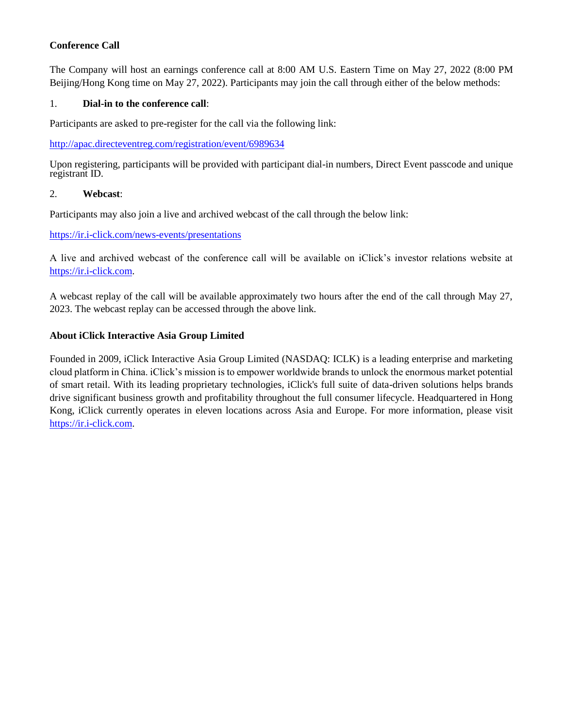# **Conference Call**

The Company will host an earnings conference call at 8:00 AM U.S. Eastern Time on May 27, 2022 (8:00 PM Beijing/Hong Kong time on May 27, 2022). Participants may join the call through either of the below methods:

### 1. **Dial-in to the conference call**:

Participants are asked to pre-register for the call via the following link:

http://apac.directeventreg.com/registration/event/6989634

Upon registering, participants will be provided with participant dial-in numbers, Direct Event passcode and unique registrant ID.

#### 2. **Webcast**:

Participants may also join a live and archived webcast of the call through the below link:

#### <https://ir.i-click.com/news-events/presentations>

A live and archived webcast of the conference call will be available on iClick's investor relations website at [https://ir.i-click.com.](https://ir.i-click.com/)

A webcast replay of the call will be available approximately two hours after the end of the call through May 27, 2023. The webcast replay can be accessed through the above link.

### **About iClick Interactive Asia Group Limited**

Founded in 2009, iClick Interactive Asia Group Limited (NASDAQ: ICLK) is a leading enterprise and marketing cloud platform in China. iClick's mission is to empower worldwide brands to unlock the enormous market potential of smart retail. With its leading proprietary technologies, iClick's full suite of data-driven solutions helps brands drive significant business growth and profitability throughout the full consumer lifecycle. Headquartered in Hong Kong, iClick currently operates in eleven locations across Asia and Europe. For more information, please visit [https://ir.i-click.com.](https://ir.i-click.com/)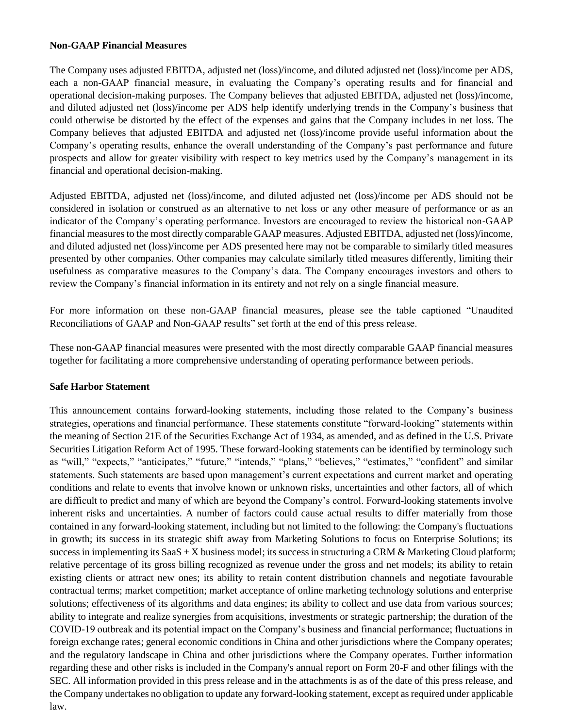#### **Non-GAAP Financial Measures**

The Company uses adjusted EBITDA, adjusted net (loss)/income, and diluted adjusted net (loss)/income per ADS, each a non-GAAP financial measure, in evaluating the Company's operating results and for financial and operational decision-making purposes. The Company believes that adjusted EBITDA, adjusted net (loss)/income, and diluted adjusted net (loss)/income per ADS help identify underlying trends in the Company's business that could otherwise be distorted by the effect of the expenses and gains that the Company includes in net loss. The Company believes that adjusted EBITDA and adjusted net (loss)/income provide useful information about the Company's operating results, enhance the overall understanding of the Company's past performance and future prospects and allow for greater visibility with respect to key metrics used by the Company's management in its financial and operational decision-making.

Adjusted EBITDA, adjusted net (loss)/income, and diluted adjusted net (loss)/income per ADS should not be considered in isolation or construed as an alternative to net loss or any other measure of performance or as an indicator of the Company's operating performance. Investors are encouraged to review the historical non-GAAP financial measures to the most directly comparable GAAP measures. Adjusted EBITDA, adjusted net (loss)/income, and diluted adjusted net (loss)/income per ADS presented here may not be comparable to similarly titled measures presented by other companies. Other companies may calculate similarly titled measures differently, limiting their usefulness as comparative measures to the Company's data. The Company encourages investors and others to review the Company's financial information in its entirety and not rely on a single financial measure.

For more information on these non-GAAP financial measures, please see the table captioned "Unaudited Reconciliations of GAAP and Non-GAAP results" set forth at the end of this press release.

These non-GAAP financial measures were presented with the most directly comparable GAAP financial measures together for facilitating a more comprehensive understanding of operating performance between periods.

# **Safe Harbor Statement**

This announcement contains forward-looking statements, including those related to the Company's business strategies, operations and financial performance. These statements constitute "forward-looking" statements within the meaning of Section 21E of the Securities Exchange Act of 1934, as amended, and as defined in the U.S. Private Securities Litigation Reform Act of 1995. These forward-looking statements can be identified by terminology such as "will," "expects," "anticipates," "future," "intends," "plans," "believes," "estimates," "confident" and similar statements. Such statements are based upon management's current expectations and current market and operating conditions and relate to events that involve known or unknown risks, uncertainties and other factors, all of which are difficult to predict and many of which are beyond the Company's control. Forward-looking statements involve inherent risks and uncertainties. A number of factors could cause actual results to differ materially from those contained in any forward-looking statement, including but not limited to the following: the Company's fluctuations in growth; its success in its strategic shift away from Marketing Solutions to focus on Enterprise Solutions; its success in implementing its SaaS + X business model; its success in structuring a CRM  $\&$  Marketing Cloud platform; relative percentage of its gross billing recognized as revenue under the gross and net models; its ability to retain existing clients or attract new ones; its ability to retain content distribution channels and negotiate favourable contractual terms; market competition; market acceptance of online marketing technology solutions and enterprise solutions; effectiveness of its algorithms and data engines; its ability to collect and use data from various sources; ability to integrate and realize synergies from acquisitions, investments or strategic partnership; the duration of the COVID-19 outbreak and its potential impact on the Company's business and financial performance; fluctuations in foreign exchange rates; general economic conditions in China and other jurisdictions where the Company operates; and the regulatory landscape in China and other jurisdictions where the Company operates. Further information regarding these and other risks is included in the Company's annual report on Form 20-F and other filings with the SEC. All information provided in this press release and in the attachments is as of the date of this press release, and the Company undertakes no obligation to update any forward-looking statement, except as required under applicable law.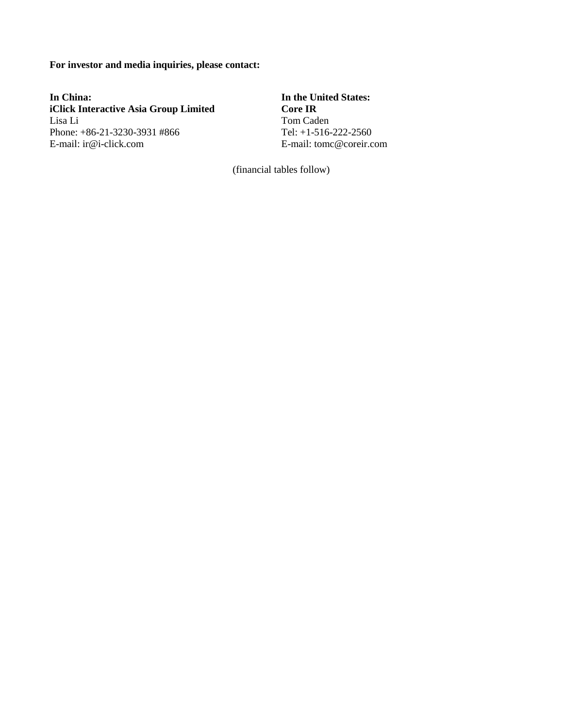**For investor and media inquiries, please contact:**

**In China: In the United States:**<br> **In the United States:**<br> **In the United States: iClick Interactive Asia Group Limited** Lisa Li Tom Caden Phone: +86-21-3230-3931 #866 Tel: +1-516-222-2560 E-mail: ir@i-click.com E-mail: tomc@coreir.com

(financial tables follow)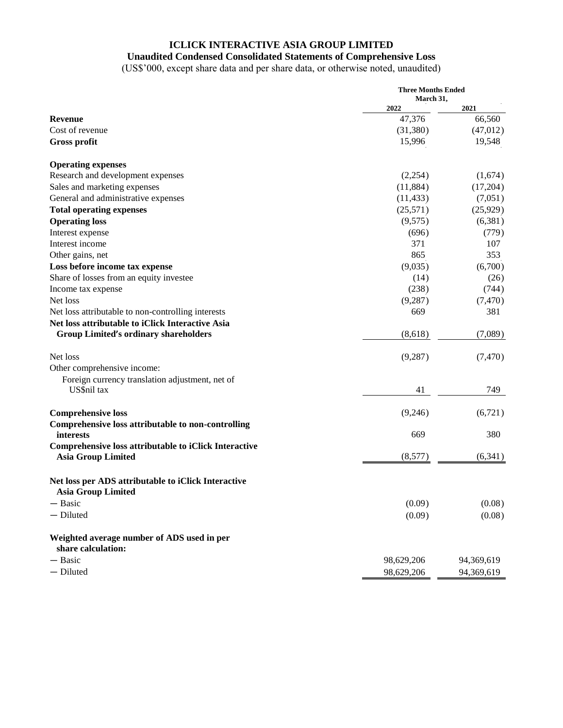# **ICLICK INTERACTIVE ASIA GROUP LIMITED**

# **Unaudited Condensed Consolidated Statements of Comprehensive Loss**

(US\$'000, except share data and per share data, or otherwise noted, unaudited)

|                                                                                    | <b>Three Months Ended</b><br>March 31, |            |
|------------------------------------------------------------------------------------|----------------------------------------|------------|
|                                                                                    | 2022                                   | 2021       |
| <b>Revenue</b>                                                                     | 47,376                                 | 66,560     |
| Cost of revenue                                                                    | (31, 380)                              | (47,012)   |
| <b>Gross profit</b>                                                                | 15,996                                 | 19,548     |
| <b>Operating expenses</b>                                                          |                                        |            |
| Research and development expenses                                                  | (2,254)                                | (1,674)    |
| Sales and marketing expenses                                                       | (11,884)                               | (17,204)   |
| General and administrative expenses                                                | (11, 433)                              | (7,051)    |
| <b>Total operating expenses</b>                                                    | (25, 571)                              | (25, 929)  |
| <b>Operating loss</b>                                                              | (9,575)                                | (6,381)    |
| Interest expense                                                                   | (696)                                  | (779)      |
| Interest income                                                                    | 371                                    | 107        |
| Other gains, net                                                                   | 865                                    | 353        |
| Loss before income tax expense                                                     | (9,035)                                | (6,700)    |
| Share of losses from an equity investee                                            | (14)                                   | (26)       |
| Income tax expense                                                                 | (238)                                  | (744)      |
| Net loss                                                                           | (9, 287)                               | (7, 470)   |
| Net loss attributable to non-controlling interests                                 | 669                                    | 381        |
| Net loss attributable to iClick Interactive Asia                                   |                                        |            |
| <b>Group Limited's ordinary shareholders</b>                                       | (8,618)                                | (7,089)    |
| Net loss                                                                           | (9, 287)                               | (7, 470)   |
| Other comprehensive income:                                                        |                                        |            |
| Foreign currency translation adjustment, net of                                    |                                        |            |
| US\$nil tax                                                                        | 41                                     | 749        |
| <b>Comprehensive loss</b>                                                          | (9,246)                                | (6,721)    |
| Comprehensive loss attributable to non-controlling                                 |                                        |            |
| <i>interests</i>                                                                   | 669                                    | 380        |
| Comprehensive loss attributable to iClick Interactive<br><b>Asia Group Limited</b> | (8,577)                                | (6,341)    |
| Net loss per ADS attributable to iClick Interactive                                |                                        |            |
| <b>Asia Group Limited</b>                                                          |                                        |            |
| - Basic                                                                            | (0.09)                                 | (0.08)     |
| - Diluted                                                                          | (0.09)                                 | (0.08)     |
| Weighted average number of ADS used in per<br>share calculation:                   |                                        |            |
| - Basic                                                                            | 98,629,206                             | 94,369,619 |
| - Diluted                                                                          | 98,629,206                             | 94,369,619 |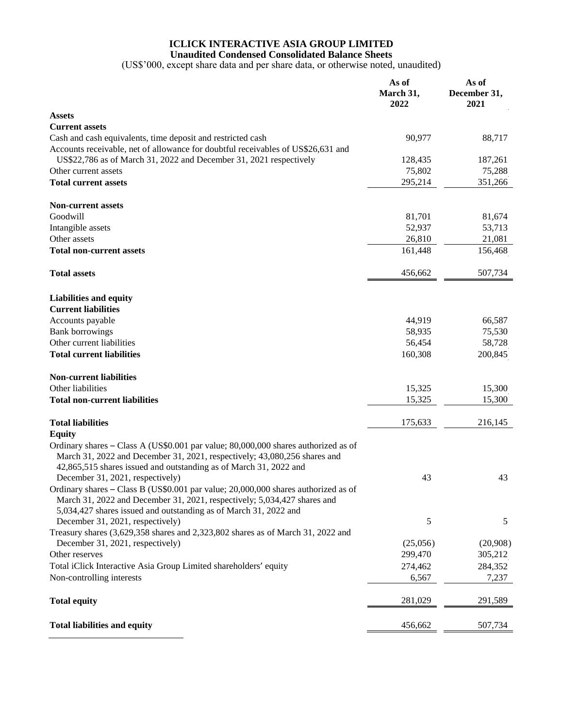# **ICLICK INTERACTIVE ASIA GROUP LIMITED**

**Unaudited Condensed Consolidated Balance Sheets**

(US\$'000, except share data and per share data, or otherwise noted, unaudited)

|                                                                                                                                                                                                                                                                        | As of<br>March 31,<br>2022 | As of<br>December 31,<br>2021 |
|------------------------------------------------------------------------------------------------------------------------------------------------------------------------------------------------------------------------------------------------------------------------|----------------------------|-------------------------------|
| <b>Assets</b>                                                                                                                                                                                                                                                          |                            |                               |
| <b>Current assets</b>                                                                                                                                                                                                                                                  |                            |                               |
| Cash and cash equivalents, time deposit and restricted cash<br>Accounts receivable, net of allowance for doubtful receivables of US\$26,631 and                                                                                                                        | 90,977                     | 88,717                        |
| US\$22,786 as of March 31, 2022 and December 31, 2021 respectively                                                                                                                                                                                                     | 128,435                    | 187,261                       |
| Other current assets                                                                                                                                                                                                                                                   | 75,802                     | 75,288                        |
| <b>Total current assets</b>                                                                                                                                                                                                                                            | 295,214                    | 351,266                       |
| <b>Non-current assets</b>                                                                                                                                                                                                                                              |                            |                               |
| Goodwill                                                                                                                                                                                                                                                               | 81,701                     | 81,674                        |
| Intangible assets                                                                                                                                                                                                                                                      | 52,937                     | 53,713                        |
| Other assets                                                                                                                                                                                                                                                           | 26,810                     | 21,081                        |
| <b>Total non-current assets</b>                                                                                                                                                                                                                                        | 161,448                    | 156,468                       |
| <b>Total assets</b>                                                                                                                                                                                                                                                    | 456,662                    | 507,734                       |
| <b>Liabilities and equity</b>                                                                                                                                                                                                                                          |                            |                               |
| <b>Current liabilities</b>                                                                                                                                                                                                                                             |                            |                               |
| Accounts payable                                                                                                                                                                                                                                                       | 44,919                     | 66,587                        |
| <b>Bank borrowings</b>                                                                                                                                                                                                                                                 | 58,935                     | 75,530                        |
| Other current liabilities                                                                                                                                                                                                                                              | 56,454                     | 58,728                        |
| <b>Total current liabilities</b>                                                                                                                                                                                                                                       | 160,308                    | 200,845                       |
| <b>Non-current liabilities</b>                                                                                                                                                                                                                                         |                            |                               |
| Other liabilities                                                                                                                                                                                                                                                      | 15,325                     | 15,300                        |
| <b>Total non-current liabilities</b>                                                                                                                                                                                                                                   | 15,325                     | 15,300                        |
| <b>Total liabilities</b>                                                                                                                                                                                                                                               | 175,633                    | 216,145                       |
| <b>Equity</b>                                                                                                                                                                                                                                                          |                            |                               |
| Ordinary shares - Class A (US\$0.001 par value; 80,000,000 shares authorized as of<br>March 31, 2022 and December 31, 2021, respectively; 43,080,256 shares and<br>42,865,515 shares issued and outstanding as of March 31, 2022 and                                   |                            |                               |
| December 31, 2021, respectively)<br>Ordinary shares - Class B (US\$0.001 par value; 20,000,000 shares authorized as of<br>March 31, 2022 and December 31, 2021, respectively; 5,034,427 shares and<br>5,034,427 shares issued and outstanding as of March 31, 2022 and | 43                         | 43                            |
| December 31, 2021, respectively)<br>Treasury shares (3,629,358 shares and 2,323,802 shares as of March 31, 2022 and                                                                                                                                                    | $\mathfrak{S}$             | 5                             |
| December 31, 2021, respectively)                                                                                                                                                                                                                                       | (25,056)                   | (20,908)                      |
| Other reserves                                                                                                                                                                                                                                                         | 299,470                    | 305,212                       |
| Total iClick Interactive Asia Group Limited shareholders' equity                                                                                                                                                                                                       | 274,462                    | 284,352                       |
| Non-controlling interests                                                                                                                                                                                                                                              | 6,567                      | 7,237                         |
| <b>Total equity</b>                                                                                                                                                                                                                                                    | 281,029                    | 291,589                       |
| <b>Total liabilities and equity</b>                                                                                                                                                                                                                                    | 456,662                    | 507,734                       |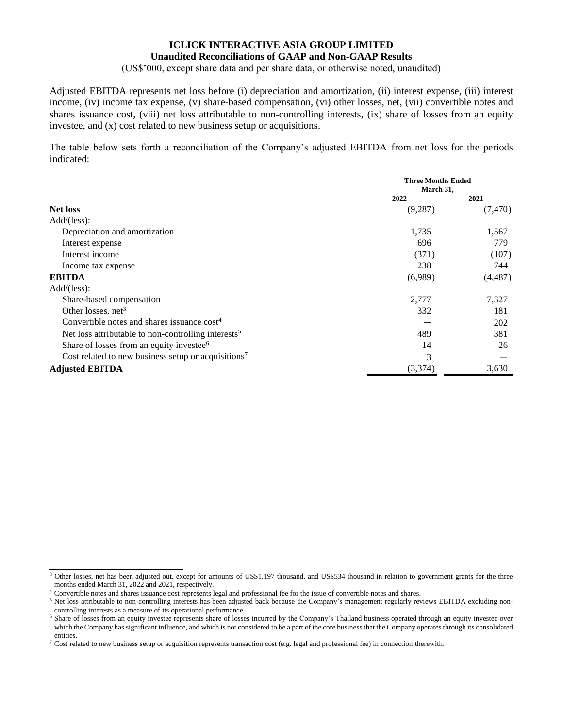#### **ICLICK INTERACTIVE ASIA GROUP LIMITED Unaudited Reconciliations of GAAP and Non-GAAP Results**

(US\$'000, except share data and per share data, or otherwise noted, unaudited)

Adjusted EBITDA represents net loss before (i) depreciation and amortization, (ii) interest expense, (iii) interest income, (iv) income tax expense, (v) share-based compensation, (vi) other losses, net, (vii) convertible notes and shares issuance cost, (viii) net loss attributable to non-controlling interests, (ix) share of losses from an equity investee, and (x) cost related to new business setup or acquisitions.

The table below sets forth a reconciliation of the Company's adjusted EBITDA from net loss for the periods indicated:

|                                                                 | <b>Three Months Ended</b><br>March 31, |          |
|-----------------------------------------------------------------|----------------------------------------|----------|
|                                                                 | 2022                                   | 2021     |
| <b>Net loss</b>                                                 | (9, 287)                               | (7, 470) |
| Add/(less):                                                     |                                        |          |
| Depreciation and amortization                                   | 1,735                                  | 1,567    |
| Interest expense                                                | 696                                    | 779      |
| Interest income                                                 | (371)                                  | (107)    |
| Income tax expense                                              | 238                                    | 744      |
| <b>EBITDA</b>                                                   | (6,989)                                | (4, 487) |
| Add/(less):                                                     |                                        |          |
| Share-based compensation                                        | 2,777                                  | 7,327    |
| Other losses, $net3$                                            | 332                                    | 181      |
| Convertible notes and shares issuance $cost4$                   |                                        | 202      |
| Net loss attributable to non-controlling interests <sup>5</sup> | 489                                    | 381      |
| Share of losses from an equity investee <sup>6</sup>            | 14                                     | 26       |
| Cost related to new business setup or acquisitions <sup>7</sup> | 3                                      |          |
| <b>Adjusted EBITDA</b>                                          | (3,374)                                | 3,630    |

<sup>&</sup>lt;sup>3</sup> Other losses, net has been adjusted out, except for amounts of US\$1,197 thousand, and US\$534 thousand in relation to government grants for the three months ended March 31, 2022 and 2021, respectively.

<sup>4</sup> Convertible notes and shares issuance cost represents legal and professional fee for the issue of convertible notes and shares.

<sup>&</sup>lt;sup>5</sup> Net loss attributable to non-controlling interests has been adjusted back because the Company's management regularly reviews EBITDA excluding noncontrolling interests as a measure of its operational performance.

<sup>&</sup>lt;sup>6</sup> Share of losses from an equity investee represents share of losses incurred by the Company's Thailand business operated through an equity investee over which the Company has significant influence, and which is not considered to be a part of the core business that the Company operates through its consolidated entities.

 $^7$  Cost related to new business setup or acquisition represents transaction cost (e.g. legal and professional fee) in connection therewith.